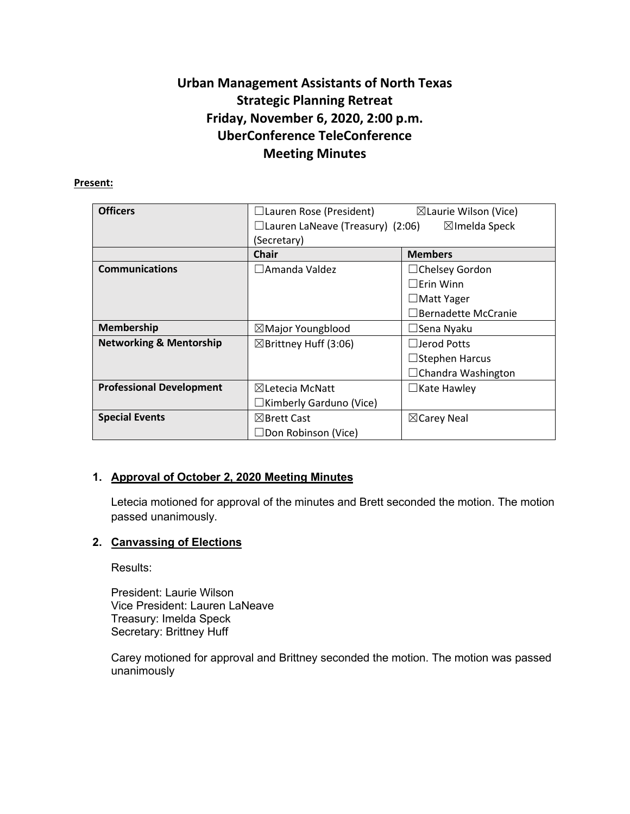# **Urban Management Assistants of North Texas Strategic Planning Retreat Friday, November 6, 2020, 2:00 p.m. UberConference TeleConference Meeting Minutes**

#### **Present:**

| <b>Officers</b>                    | $\Box$ Lauren Rose (President)          | $\boxtimes$ Laurie Wilson (Vice) |
|------------------------------------|-----------------------------------------|----------------------------------|
|                                    | $\Box$ Lauren LaNeave (Treasury) (2:06) | $\boxtimes$ Imelda Speck         |
|                                    | (Secretary)                             |                                  |
|                                    | <b>Chair</b>                            | <b>Members</b>                   |
| <b>Communications</b>              | $\Box$ Amanda Valdez                    | $\Box$ Chelsey Gordon            |
|                                    |                                         | $\Box$ Erin Winn                 |
|                                    |                                         | $\Box$ Matt Yager                |
|                                    |                                         | $\Box$ Bernadette McCranie       |
| <b>Membership</b>                  | $\boxtimes$ Major Youngblood            | $\Box$ Sena Nyaku                |
| <b>Networking &amp; Mentorship</b> | $\boxtimes$ Brittney Huff (3:06)        | $\Box$ Jerod Potts               |
|                                    |                                         | $\Box$ Stephen Harcus            |
|                                    |                                         | $\Box$ Chandra Washington        |
| <b>Professional Development</b>    | $\boxtimes$ Letecia McNatt              | $\Box$ Kate Hawley               |
|                                    | $\Box$ Kimberly Garduno (Vice)          |                                  |
| <b>Special Events</b>              | $\boxtimes$ Brett Cast                  | $\boxtimes$ Carey Neal           |
|                                    | $\Box$ Don Robinson (Vice)              |                                  |

## **1. Approval of October 2, 2020 Meeting Minutes**

Letecia motioned for approval of the minutes and Brett seconded the motion. The motion passed unanimously.

#### **2. Canvassing of Elections**

Results:

President: Laurie Wilson Vice President: Lauren LaNeave Treasury: Imelda Speck Secretary: Brittney Huff

Carey motioned for approval and Brittney seconded the motion. The motion was passed unanimously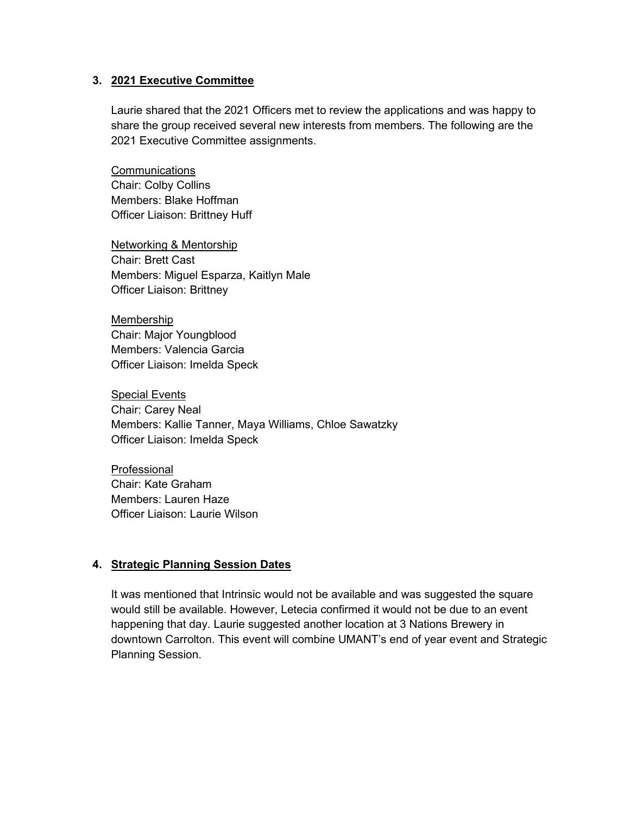#### **3. 2021 Executive Committee**

Laurie shared that the 2021 Officers met to review the applications and was happy to share the group received several new interests from members. The following are the 2021 Executive Committee assignments.

**Communications** Chair: Colby Collins Members: Blake Hoffman Officer Liaison: Brittney Huff

Networking & Mentorship Chair: Brett Cast Members: Miguel Esparza, Kaitlyn Male Officer Liaison: Brittney

Membership Chair: Major Youngblood Members: Valencia Garcia Officer Liaison: Imelda Speck

Special Events Chair: Carey Neal Members: Kallie Tanner, Maya Williams, Chloe Sawatzky Officer Liaison: Imelda Speck

Professional Chair: Kate Graham Members: Lauren Haze Officer Liaison: Laurie Wilson

#### **4. Strategic Planning Session Dates**

It was mentioned that Intrinsic would not be available and was suggested the square would still be available. However, Letecia confirmed it would not be due to an event happening that day. Laurie suggested another location at 3 Nations Brewery in downtown Carrolton. This event will combine UMANT's end of year event and Strategic Planning Session.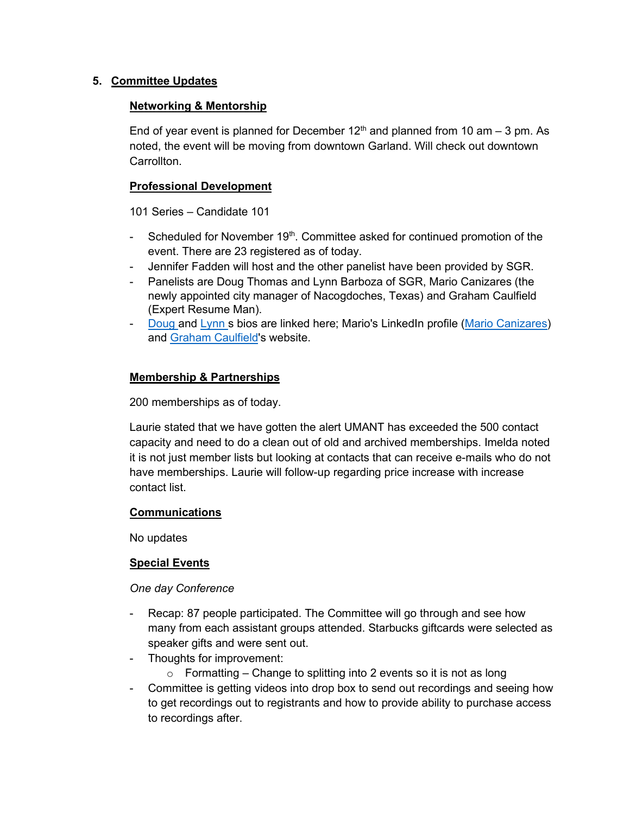## **5. Committee Updates**

#### **Networking & Mentorship**

End of year event is planned for December  $12<sup>th</sup>$  and planned from 10 am  $-3$  pm. As noted, the event will be moving from downtown Garland. Will check out downtown **Carrollton** 

## **Professional Development**

101 Series – Candidate 101

- Scheduled for November 19<sup>th</sup>. Committee asked for continued promotion of the event. There are 23 registered as of today.
- Jennifer Fadden will host and the other panelist have been provided by SGR.
- Panelists are Doug Thomas and Lynn Barboza of SGR, Mario Canizares (the newly appointed city manager of Nacogdoches, Texas) and Graham Caulfield (Expert Resume Man).
- [Doug](https://www.governmentresource.com/about-us/meet-the-team/doug-thomas) and [Lynn](https://www.governmentresource.com/about-us/meet-the-team/lynn-barboza) s bios are linked here; Mario's LinkedIn profile [\(Mario Canizares\)](https://www.linkedin.com/in/mario-canizares-0432217/) and [Graham Caulfield'](https://expertresumeman.com/)s website.

## **Membership & Partnerships**

200 memberships as of today.

Laurie stated that we have gotten the alert UMANT has exceeded the 500 contact capacity and need to do a clean out of old and archived memberships. Imelda noted it is not just member lists but looking at contacts that can receive e-mails who do not have memberships. Laurie will follow-up regarding price increase with increase contact list.

#### **Communications**

No updates

## **Special Events**

#### *One day Conference*

- Recap: 87 people participated. The Committee will go through and see how many from each assistant groups attended. Starbucks giftcards were selected as speaker gifts and were sent out.
- Thoughts for improvement:
	- $\circ$  Formatting Change to splitting into 2 events so it is not as long
- Committee is getting videos into drop box to send out recordings and seeing how to get recordings out to registrants and how to provide ability to purchase access to recordings after.